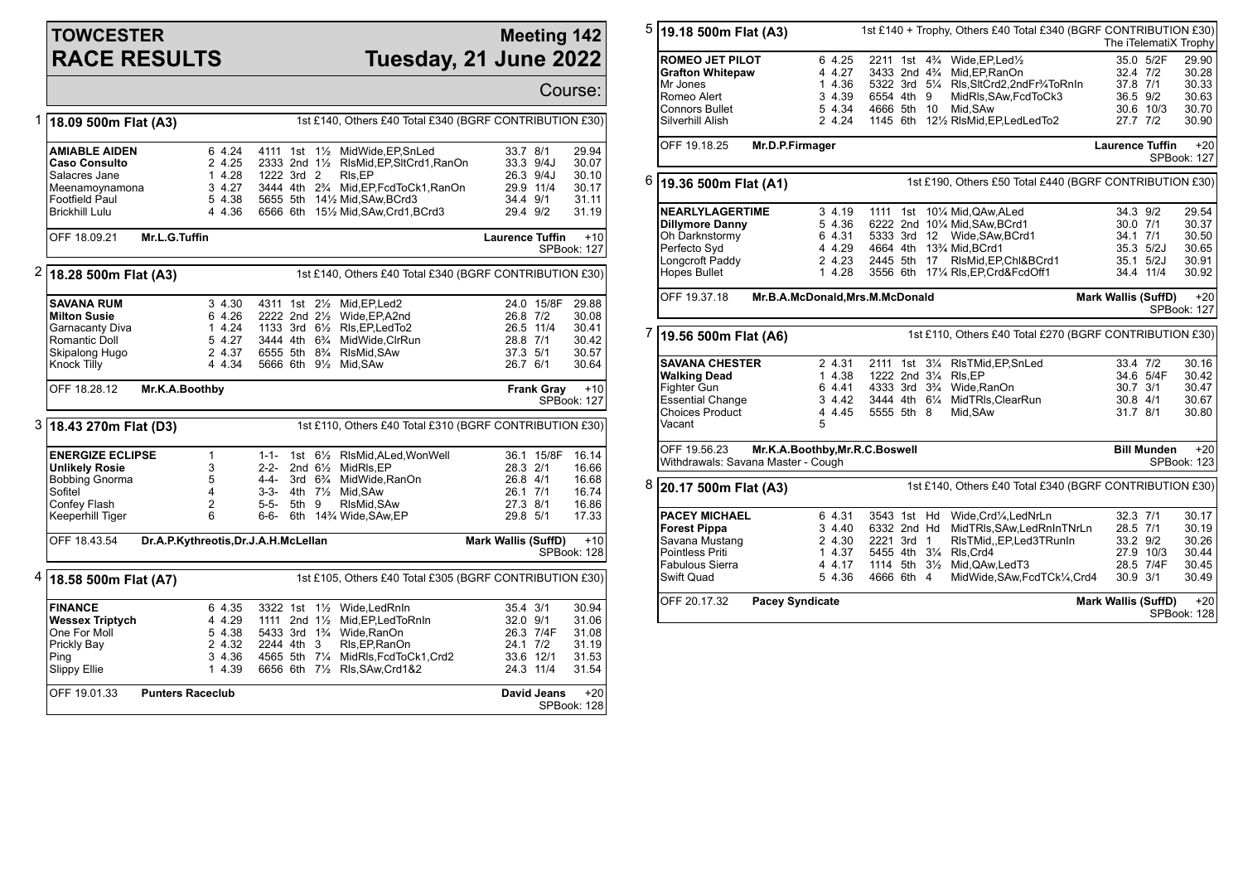## **TOWCESTER RACE RESULTS**

## **Meeting 142 Tuesday, 21 June 2022**

Course: 1 **18.09 500m Flat (A3)** 1st £140, Others £40 Total £340 (BGRF CONTRIBUTION £30) **AMIABLE AIDEN** 6 4.24 4111 1st 1<sup>1</sup>/<sub>2</sub> MidWide, EP, SnLed 33.7 8/1 29.94<br> **Caso Consulto** 2 4.25 2333 2nd 1<sup>1</sup>/<sub>2</sub> RisMid. EP. SttCrd1. RanOn 33.3 9/4J 30.07 **Caso 2333 2nd 1½ RlsMid,EP,SltCrd1,RanOn 33.3 9/4J 322 3rd 2 Rls.EP 30.07 26.3 9/4J** Salacres Jane 1 4.28 1222 3rd 2 Rls,EP 26.3 9/4J 30.10 Meenamoynamona 3 4.27 3444 4th 2<sup>3</sup>/<sub>4</sub> Mid,EP,FcdToCk1,RanOn 20.17 3444 4th 2<sup>3</sup>/<sub>4</sub> Mid,EP,FcdToCk1,RanOn Footfield Paul 5 4.38 5655 5th 14½ Mid,SAw,BCrd3 34.4 9/1 31.11 Brickhill Lulu 4 4.36 6566 6th 15½ Mid,SAw,Crd1,BCrd3 29.4 9/2 31.19 OFF 18.09.21 **Mr.L.G.Tuffin Laurence Tuffin** +10 SPBook: 127 2 **18.28 500m Flat (A3)** 1st £140, Others £40 Total £340 (BGRF CONTRIBUTION £30) **SAVANA RUM** 3 4.30 4311 1st 2½ Mid,EP,Led2 24.0 15/8F 29.88 **Milton Susie** 6 4.26 2222 2nd 2½ Wide,EP,A2nd 26.8 7/2 30.08 1 4.24 1133 3rd 6½ RIs, EP, LedTo2 26.5 11/4 26.5 11/4 26.5 11/4 Romantic Doll 5 4.27 3444 4th 6¾ MidWide,ClrRun 28.8 7/1 30.42 Skipalong Hugo 2 4.37 6555 5th 8¾ RlsMid,SAw 37.3 5/1 30.57 5666 6th 91/2 Mid, SAw OFF 18.28.12 **Mr.K.A.Boothby Frank Gray** +10 SPBook: 127 3 **18.43 270m Flat (D3)** 1st £110, Others £40 Total £310 (BGRF CONTRIBUTION £30) **ENERGIZE ECLIPSE** 1 1-1- 1st 6½ RIsMid,ALed,WonWell 36.1 15/8F 16.14<br> **Unlikely Rosie** 3 2-2- 2nd 6½ MidRIs,EP 28.3 2/1 16.66 **Unlikely Rosie** 3 2-2- 2nd 6<sup>1</sup>/<sub>2</sub> MidRls, EP 28.3 2/1 16.66<br>Bobbing Gnorma 5 4-4- 3rd 6<sup>3</sup>/<sub>4</sub> MidWide, RanOn 26.8 4/1 16.68 Bobbing Gnorma 5 4-4- 3rd 6¾ MidWide,RanOn 26.8 4/1 16.68 Sofitel 4 3-3- 4th 7½ Mid,SAw 26.1 7/1 16.74 Confey Flash 2 5-5- 5th 9 RlsMid,SAw 27.3 8/1 16.86 6th  $14\%$  Wide, SAw, EP OFF 18.43.54 **Dr.A.P.Kythreotis,Dr.J.A.H.McLellan Mark Wallis (SuffD)** +10 SPBook: 128 4 **18.58 500m Flat (A7)** 1st £105, Others £40 Total £305 (BGRF CONTRIBUTION £30) **FINANCE** 6 4.35 3322 1st 1½ Wide,LedRnIn 35.4 3/1 30.94<br> **Wessex Triptych 4** 4.29 1111 2nd 1½ Mid,EP,LedToRnIn 32.0 9/1 31.06 **Wessex Triptych** 4 4.29 1111 2nd 1½ Mid,EP,LedToRnIn 32.0 9/1 31.06 One For Moll 5 4.38 5433 3rd 1¾ Wide,RanOn 26.3 7/4F 31.08 2 4.32 2244 4th 3 RIs,EP,RanOn 24.1 7/2 31.19<br>3 4.36 4565 5th 7¼ MidRIs,FcdToCk1,Crd2 33.6 12/1 31.53 Ping 19 12/1 3 4.36 4565 5th 71/4 MidRls, FcdToCk1, Crd2 33.6 12/1 33.6 12/1 31.64 565 5th 71/4 MidRls, FcdToCk1, Crd2 3 4.3 11/4 Slippy Ellie 1 4.39 6656 6th 7½ Rls,SAw,Crd1&2 24.3 11/4 31.54 OFF 19.01.33 **Punters Raceclub David Jeans** +20 SPBook: 128 5 **19.18 500m Flat (A3)** 1st £140 + Trophy, Others £40 Total £340 (BGRF CONTRIBUTION £30) The iTelematiX Trophy **ROMEO JET PILOT** 6 4.25 2211 1st 4¼ Wide,EP,Led½ 35.0 5/2F 29.90<br> **Grafton Whitepaw** 4 4.27 3433 2nd 4¼ Mid,EP,RanOn 32.4 7/2 30.28 **Grafton Whitepaw** 4 4.27 3433 2nd 4¾ Mid,EP,RanOn 32.4 7/2 30.28 Mr Jones 1 4.36 5322 3rd 5¼ Rls,SltCrd2,2ndFr¾ToRnIn 37.8 7/1 30.33 Romeo Alert 3 4.39 6554 4th 9 MidRls,SAw,FcdToCk3 36.5 9/2 30.63 Connors Bullet 5 4.34 4666 5th 10 Mid,SAw 30.6 10/3 30.70 Silverhill Alish 2 4.24 1145 6th 12½ RlsMid,EP,LedLedTo2 27.7 7/2 30.90 OFF 19.18.25 **Mr.D.P.Firmager Laurence Tuffin** +20 SPBook: 127 6 **19.36 500m Flat (A1)** 1st £190, Others £50 Total £440 (BGRF CONTRIBUTION £30) **NEARLYLAGERTIME** 3 4.19 1111 1st 10¼ Mid,QAw,ALed 34.3 9/2 29.54<br> **Dillymore Danny** 5 4.36 6222 2nd 10¼ Mid,SAw,BCrd1 30.0 7/1 30.37 **Dillymore Danny** 5 4.36 6222 2nd 10¼ Mid, SAw, BCrd1 30.0 7/1 30.37<br>
Oh Darknstormy 6 4.31 5333 3rd 12 Wide, SAw, BCrd1 34.1 7/1 30.50 Oh Darknstormy 6 4.31 5333 3rd 12 Wide,SAw,BCrd1 34.1 7/1 30.50 Perfecto Syd **4 5 4 4.29 4664 4th 13**<sup>3</sup>/<sub>4</sub> Mid, BCrd1 35.3 5/2J 30.65<br>Longcroft Paddy 2 4.23 2445 5th 17 RIsMid, EP, ChI&BCrd1 35.1 5/2J 30.91 2445 5th 17 RlsMid.EP.Chl&BCrd1 Hopes Bullet 1 4.28 3556 6th 17¼ Rls,EP,Crd&FcdOff1 34.4 11/4 30.92 OFF 19.37.18 **Mr.B.A.McDonald,Mrs.M.McDonald Mark Wallis (SuffD)** +20 SPBook: 127 7 **19.56 500m Flat (A6)** 1st £110, Others £40 Total £270 (BGRF CONTRIBUTION £30) **SAVANA CHESTER** 2 4.31 2111 1st 31/<sub>4</sub> RIsTMid,EP,SnLed 33.4 7/2 30.16<br> **Walking Dead** 1 4.38 1222 2nd 31/<sub>4</sub> RIs,EP 30.42 **Walking Dead** 1 4.38 1222 2nd 3¼ Rls,EP 34.6 5/4F 30.42 Fighter Gun 6 4.41 4333 3rd 3¾ Wide,RanOn 30.7 3/1 30.47 Essential Change 3 4.42 3444 4th 6¼ MidTRls,ClearRun 30.8 4/1 30.67 4 4.45 5555 5th 8 Mid.SAw Vacant 5 OFF 19.56.23 **Mr.K.A.Boothby,Mr.R.C.Boswell** Withdrawals: Savana Master - Cough **Bill Munden** +20 SPBook: 123 8 **20.17 500m Flat (A3)** 1st £140, Others £40 Total £340 (BGRF CONTRIBUTION £30) **PACEY MICHAEL** 6 4.31 3543 1st Hd Wide,Crd¼,LedNrLn 32.3 7/1 30.17 **Forest Pippa** 3 4.40 6332 2nd Hd MidTRls,SAw,LedRnInTNrLn 28.5 7/1 30.19 Savana Mustang 2 4.30 2221 3rd 1 RlsTMid,,EP,Led3TRunIn 33.2 9/2 30.26 Pointless Priti 1 4.37 5455 4th 3¼ Rls,Crd4 27.9 10/3 30.44 Fabulous Sierra 4 4.17 1114 5th 3½ Mid,QAw,LedT3 28.5 7/4F 30.45 MidWide,SAw,FcdTCk¼,Crd4 OFF 20.17.32 **Pacey Syndicate Mark Wallis (SuffD)** +20 SPBook: 128